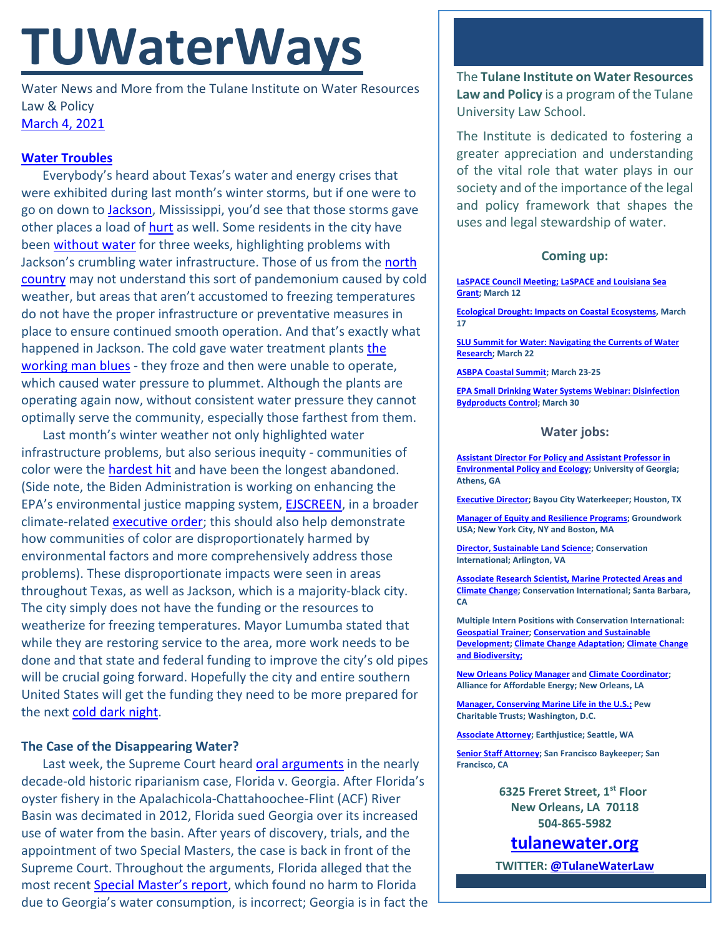# **TUWaterWays**

Water News and More from the Tulane Institute on Water Resources Law & Policy [March 4, 2021](https://thisdayinwaterhistory.wordpress.com/)

## **[Water Troubles](https://www.youtube.com/watch?v=2sPExHMHUiQ)**

Everybody's heard about Texas's water and energy crises that were exhibited during last month's winter storms, but if one were to go on down to [Jackson,](https://www.youtube.com/watch?v=HGhCsznO0S8) Mississippi, you'd see that those storms gave other places a load of [hurt](https://www.youtube.com/watch?v=8AHCfZTRGiI) as well. Some residents in the city have been [without water](https://www.npr.org/2021/03/03/973175017/like-peanut-brittle-mississippi-water-crisis-highlights-infrastructure-problems) for three weeks, highlighting problems with Jackson's crumbling water infrastructure. Those of us from the north [country](https://www.dailymotion.com/video/x1qaym4) may not understand this sort of pandemonium caused by cold weather, but areas that aren't accustomed to freezing temperatures do not have the proper infrastructure or preventative measures in place to ensure continued smooth operation. And that's exactly what happened in Jackson. The cold gave water treatment plants the [working man blues](https://www.youtube.com/watch?v=pSE8W2ELtLw) - they froze and then were unable to operate, which caused water pressure to plummet. Although the plants are operating again now, without consistent water pressure they cannot optimally serve the community, especially those farthest from them.

Last month's winter weather not only highlighted water infrastructure problems, but also serious inequity - communities of color were the [hardest hit](https://www.huffpost.com/entry/water-crisis-jackson-mississippi-black-residents_n_603d7d62c5b6829715029845) and have been the longest abandoned. (Side note, the Biden Administration is working on enhancing the EPA's environmental justice mapping system, [EJSCREEN,](https://ejscreen.epa.gov/mapper/) in a broader climate-related [executive order;](https://www.whitehouse.gov/briefing-room/presidential-actions/2021/01/27/executive-order-on-tackling-the-climate-crisis-at-home-and-abroad/) this should also help demonstrate how communities of color are disproportionately harmed by environmental factors and more comprehensively address those problems). These disproportionate impacts were seen in areas throughout Texas, as well as Jackson, which is a majority-black city. The city simply does not have the funding or the resources to weatherize for freezing temperatures. Mayor Lumumba stated that while they are restoring service to the area, more work needs to be done and that state and federal funding to improve the city's old pipes will be crucial going forward. Hopefully the city and entire southern United States will get the funding they need to be more prepared for the next [cold dark night.](https://twitter.com/jonimitchell/status/1365392657602596864?ref_src=twsrc%5Egoogle%7Ctwcamp%5Eserp%7Ctwgr%5Etweet)

## **The Case of the Disappearing Water?**

Last week, the Supreme Court heard [oral arguments](https://www.oyez.org/cases/2020/142-orig) in the nearly decade-old historic riparianism case, Florida v. Georgia. After Florida's oyster fishery in the Apalachicola-Chattahoochee-Flint (ACF) River Basin was decimated in 2012, Florida sued Georgia over its increased use of water from the basin. After years of discovery, trials, and the appointment of two Special Masters, the case is back in front of the Supreme Court. Throughout the arguments, Florida alleged that the most recent [Special Master's report,](https://www.supremecourt.gov/DocketPDF/22/22O142/125423/20191213102743287_142%20Original%20SM%20Report.pdf) which found no harm to Florida due to Georgia's water consumption, is incorrect; Georgia is in fact the The **Tulane Institute on Water Resources Law and Policy** is a program of the Tulane University Law School.

The Institute is dedicated to fostering a greater appreciation and understanding of the vital role that water plays in our society and of the importance of the legal and policy framework that shapes the uses and legal stewardship of water.

### **Coming up:**

**[LaSPACE Council Meeting; LaSPACE and Louisiana Sea](https://www.laseagrant.org/event/spring-laspace-2021/?instance_id=1076)  [Grant;](https://www.laseagrant.org/event/spring-laspace-2021/?instance_id=1076) March 12**

**[Ecological Drought: Impacts on Coastal Ecosystems,](https://www.usgs.gov/center-news/ecological-drought-national-webinar-series) March 17**

**[SLU Summit for Water: Navigating the Currents of Water](https://www.eventbrite.com/e/2021-slu-summit-for-water-navigating-the-currents-of-water-research-tickets-143849588993?utm_source=Master+Audience&utm_campaign=caf431cc1a-EMAIL_CAMPAIGN_2020_08_13_10_36_COPY_02&utm_medium=email&utm_term=0_2285bad6f7-caf431cc1a-422014397)  [Research;](https://www.eventbrite.com/e/2021-slu-summit-for-water-navigating-the-currents-of-water-research-tickets-143849588993?utm_source=Master+Audience&utm_campaign=caf431cc1a-EMAIL_CAMPAIGN_2020_08_13_10_36_COPY_02&utm_medium=email&utm_term=0_2285bad6f7-caf431cc1a-422014397) March 22**

**[ASBPA Coastal Summit;](https://asbpa.org/conferences/) March 23-25**

**[EPA Small Drinking Water Systems Webinar: Disinfection](https://www.epa.gov/water-research/small-drinking-water-systems-webinar-series)  [Bydproducts Control;](https://www.epa.gov/water-research/small-drinking-water-systems-webinar-series) March 30**

#### **Water jobs:**

**[Assistant Director For Policy and Assistant Professor in](https://www.ecology.uga.edu/assistant-professor-in-environmental-policy-and-ecology/)  [Environmental Policy and Ecology;](https://www.ecology.uga.edu/assistant-professor-in-environmental-policy-and-ecology/) University of Georgia; Athens, GA**

**[Executive Director;](https://bayoucitywaterkeeper.org/wp-content/uploads/2021/03/FINAL-BCWK-Executive-Director-Job-Description.pdf) Bayou City Waterkeeper; Houston, TX**

**[Manager of Equity and Resilience Programs;](https://groundworkusa.org/careers/) Groundwork USA; New York City, NY and Boston, MA**

**[Director, Sustainable Land Science;](https://phh.tbe.taleo.net/phh04/ats/careers/v2/viewRequisition?org=CONSERVATION&cws=39&rid=1439) Conservation International; Arlington, VA**

**[Associate Research Scientist, Marine Protected Areas and](https://phh.tbe.taleo.net/phh04/ats/careers/v2/viewRequisition?org=CONSERVATION&cws=39&rid=1440)  [Climate Change;](https://phh.tbe.taleo.net/phh04/ats/careers/v2/viewRequisition?org=CONSERVATION&cws=39&rid=1440) Conservation International; Santa Barbara, CA** 

**Multiple Intern Positions with Conservation International: [Geospatial Trainer;](https://phh.tbe.taleo.net/phh04/ats/careers/v2/viewRequisition?org=CONSERVATION&cws=39&rid=1448) [Conservation and Sustainable](https://phh.tbe.taleo.net/phh04/ats/careers/v2/viewRequisition?org=CONSERVATION&cws=39&rid=1451)  [Development;](https://phh.tbe.taleo.net/phh04/ats/careers/v2/viewRequisition?org=CONSERVATION&cws=39&rid=1451) [Climate Change Adaptation;](https://phh.tbe.taleo.net/phh04/ats/careers/v2/viewRequisition?org=CONSERVATION&cws=39&rid=1444) [Climate Change](https://phh.tbe.taleo.net/phh04/ats/careers/v2/viewRequisition?org=CONSERVATION&cws=39&rid=1446)  [and Biodiversity;](https://phh.tbe.taleo.net/phh04/ats/careers/v2/viewRequisition?org=CONSERVATION&cws=39&rid=1446)** 

**[New Orleans Policy Manager](https://www.all4energy.org/the-watchdog/were-hiring-aae-is-looking-for-a-new-orleans-policy-manager?utm_source=Alliance+for+Affordable+Energy&utm_campaign=cc48d94ee1-EMAIL_CAMPAIGN_2020_12_04_06_12_COPY_01&utm_medium=email&utm_term=0_96577798d7-cc48d94ee1-89434567) an[d Climate Coordinator;](https://www.all4energy.org/the-watchdog/were-hiring-aae-is-looking-for-a-climate-coordinator?utm_source=Alliance+for+Affordable+Energy&utm_campaign=cc48d94ee1-EMAIL_CAMPAIGN_2020_12_04_06_12_COPY_01&utm_medium=email&utm_term=0_96577798d7-cc48d94ee1-89434567)  Alliance for Affordable Energy; New Orleans, LA**

**[Manager, Conserving Marine Life in the U.S.;](https://jobs-pct.icims.com/jobs/6392/job?mobile=false&width=990&height=500&bga=true&needsRedirect=false&jan1offset=-360&jun1offset=-300) Pew Charitable Trusts; Washington, D.C.**

**[Associate Attorney;](https://jobs.jobvite.com/earthjustice/job/o2Modfw9?nl=1) Earthjustice; Seattle, WA**

**[Senior Staff Attorney;](https://baykeeper.org/about-baykeeper/jobs-and-internships#seniorattorney) San Francisco Baykeeper; San Francisco, CA**

> **6325 Freret Street, 1st Floor New Orleans, LA 70118 504-865-5982**

**tulanewater.org**

**TWITTER[: @TulaneWaterLaw](http://www.twitter.com/TulaneWaterLaw)**